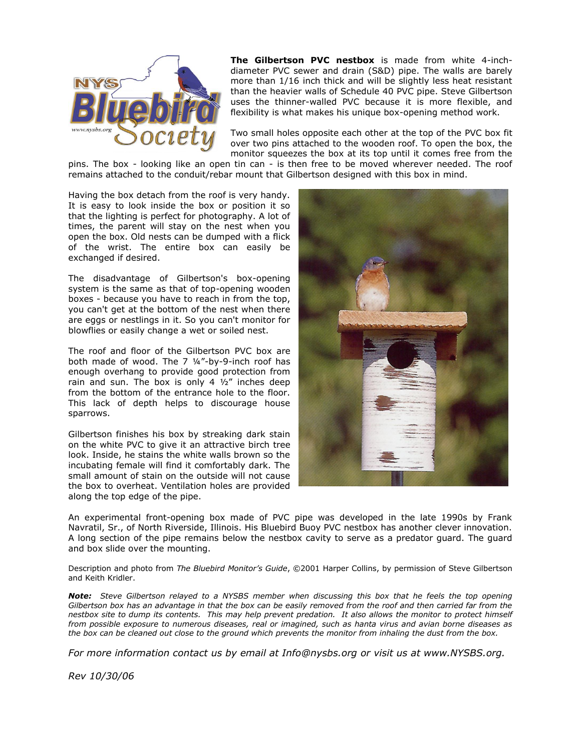

**The Gilbertson PVC nestbox** is made from white 4-inchdiameter PVC sewer and drain (S&D) pipe. The walls are barely more than 1/16 inch thick and will be slightly less heat resistant than the heavier walls of Schedule 40 PVC pipe. Steve Gilbertson uses the thinner-walled PVC because it is more flexible, and flexibility is what makes his unique box-opening method work.

Two small holes opposite each other at the top of the PVC box fit over two pins attached to the wooden roof. To open the box, the monitor squeezes the box at its top until it comes free from the

pins. The box - looking like an open tin can - is then free to be moved wherever needed. The roof remains attached to the conduit/rebar mount that Gilbertson designed with this box in mind.

Having the box detach from the roof is very handy. It is easy to look inside the box or position it so that the lighting is perfect for photography. A lot of times, the parent will stay on the nest when you open the box. Old nests can be dumped with a flick of the wrist. The entire box can easily be exchanged if desired.

The disadvantage of Gilbertson's box-opening system is the same as that of top-opening wooden boxes - because you have to reach in from the top, you can't get at the bottom of the nest when there are eggs or nestlings in it. So you can't monitor for blowflies or easily change a wet or soiled nest.

The roof and floor of the Gilbertson PVC box are both made of wood. The 7 ¼"-by-9-inch roof has enough overhang to provide good protection from rain and sun. The box is only 4  $1/2$ " inches deep from the bottom of the entrance hole to the floor. This lack of depth helps to discourage house sparrows.

Gilbertson finishes his box by streaking dark stain on the white PVC to give it an attractive birch tree look. Inside, he stains the white walls brown so the incubating female will find it comfortably dark. The small amount of stain on the outside will not cause the box to overheat. Ventilation holes are provided along the top edge of the pipe.



An experimental front-opening box made of PVC pipe was developed in the late 1990s by Frank Navratil, Sr., of North Riverside, Illinois. His Bluebird Buoy PVC nestbox has another clever innovation. A long section of the pipe remains below the nestbox cavity to serve as a predator guard. The guard and box slide over the mounting.

Description and photo from *The Bluebird Monitor's Guide*, ©2001 Harper Collins, by permission of Steve Gilbertson and Keith Kridler.

*Note: Steve Gilbertson relayed to a NYSBS member when discussing this box that he feels the top opening Gilbertson box has an advantage in that the box can be easily removed from the roof and then carried far from the nestbox site to dump its contents. This may help prevent predation. It also allows the monitor to protect himself from possible exposure to numerous diseases, real or imagined, such as hanta virus and avian borne diseases as the box can be cleaned out close to the ground which prevents the monitor from inhaling the dust from the box.*

*For more information contact us by email at Info@nysbs.org or visit us at www.NYSBS.org.*

*Rev 10/30/06*